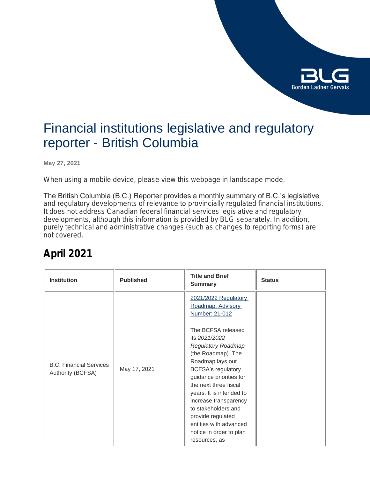

### Financial institutions legislative and regulatory reporter - British Columbia

**May 27, 2021**

*When using a mobile device, please view this webpage in landscape mode.*

The British Columbia (B.C.) Reporter provides a monthly summary of B.C.'s legislative and regulatory developments of relevance to provincially regulated financial institutions. It does not address Canadian federal financial services legislative and regulatory developments, although this information is provided by BLG separately. In addition, purely technical and administrative changes (such as changes to reporting forms) are not covered.

### **April 2021**

| <b>Institution</b>                                  | <b>Published</b> | <b>Title and Brief</b><br><b>Summary</b>                                                                                                                                                                                                                                                                                                                                                                                          | <b>Status</b> |
|-----------------------------------------------------|------------------|-----------------------------------------------------------------------------------------------------------------------------------------------------------------------------------------------------------------------------------------------------------------------------------------------------------------------------------------------------------------------------------------------------------------------------------|---------------|
| <b>B.C. Financial Services</b><br>Authority (BCFSA) | May 17, 2021     | 2021/2022 Regulatory<br>Roadmap, Advisory<br>Number: 21-012<br>The BCFSA released<br>its 2021/2022<br><b>Regulatory Roadmap</b><br>(the Roadmap). The<br>Roadmap lays out<br><b>BCFSA's regulatory</b><br>guidance priorities for<br>the next three fiscal<br>years. It is intended to<br>increase transparency<br>to stakeholders and<br>provide regulated<br>entities with advanced<br>notice in order to plan<br>resources, as |               |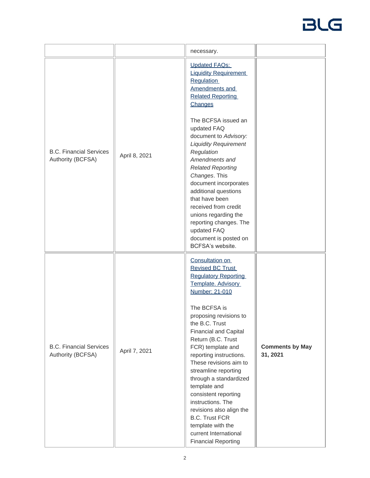|                                                     |               | necessary.                                                                                                                                                                                                                                                                                                                                                                                                                                                                                                                                                    |                                    |
|-----------------------------------------------------|---------------|---------------------------------------------------------------------------------------------------------------------------------------------------------------------------------------------------------------------------------------------------------------------------------------------------------------------------------------------------------------------------------------------------------------------------------------------------------------------------------------------------------------------------------------------------------------|------------------------------------|
| <b>B.C. Financial Services</b><br>Authority (BCFSA) | April 8, 2021 | <b>Updated FAQs:</b><br><b>Liquidity Requirement</b><br><b>Regulation</b><br>Amendments and<br><b>Related Reporting</b><br>Changes<br>The BCFSA issued an<br>updated FAQ<br>document to Advisory:<br><b>Liquidity Requirement</b><br>Regulation<br>Amendments and<br><b>Related Reporting</b><br>Changes. This<br>document incorporates<br>additional questions<br>that have been<br>received from credit<br>unions regarding the<br>reporting changes. The<br>updated FAQ<br>document is posted on<br>BCFSA's website.                                       |                                    |
| <b>B.C. Financial Services</b><br>Authority (BCFSA) | April 7, 2021 | Consultation on<br><b>Revised BC Trust</b><br><b>Regulatory Reporting</b><br>Template. Advisory<br>Number: 21-010<br>The BCFSA is<br>proposing revisions to<br>the B.C. Trust<br><b>Financial and Capital</b><br>Return (B.C. Trust<br>FCR) template and<br>reporting instructions.<br>These revisions aim to<br>streamline reporting<br>through a standardized<br>template and<br>consistent reporting<br>instructions. The<br>revisions also align the<br><b>B.C. Trust FCR</b><br>template with the<br>current International<br><b>Financial Reporting</b> | <b>Comments by May</b><br>31, 2021 |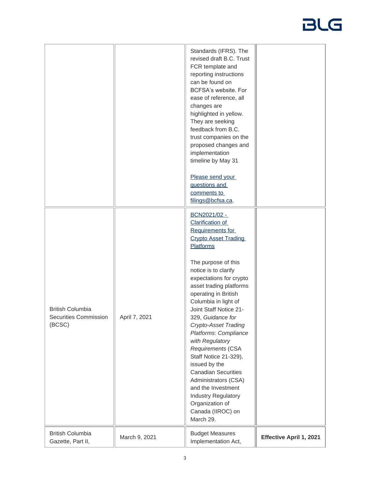|                                                            |               | Standards (IFRS). The<br>revised draft B.C. Trust<br>FCR template and<br>reporting instructions<br>can be found on<br>BCFSA's website. For<br>ease of reference, all<br>changes are<br>highlighted in yellow.<br>They are seeking<br>feedback from B.C.<br>trust companies on the<br>proposed changes and<br>implementation<br>timeline by May 31<br>Please send your<br>questions and<br>comments to<br>filings@bcfsa.ca.                                                                                                                                                                                                  |                                |
|------------------------------------------------------------|---------------|-----------------------------------------------------------------------------------------------------------------------------------------------------------------------------------------------------------------------------------------------------------------------------------------------------------------------------------------------------------------------------------------------------------------------------------------------------------------------------------------------------------------------------------------------------------------------------------------------------------------------------|--------------------------------|
| <b>British Columbia</b><br>Securities Commission<br>(BCSC) | April 7, 2021 | BCN2021/02 -<br><b>Clarification of</b><br>Requirements for<br><b>Crypto Asset Trading</b><br><b>Platforms</b><br>The purpose of this<br>notice is to clarify<br>expectations for crypto<br>asset trading platforms<br>operating in British<br>Columbia in light of<br>Joint Staff Notice 21-<br>329, Guidance for<br><b>Crypto-Asset Trading</b><br>Platforms: Compliance<br>with Regulatory<br>Requirements (CSA<br>Staff Notice 21-329),<br>issued by the<br><b>Canadian Securities</b><br>Administrators (CSA)<br>and the Investment<br><b>Industry Regulatory</b><br>Organization of<br>Canada (IIROC) on<br>March 29. |                                |
| <b>British Columbia</b><br>Gazette, Part II,               | March 9, 2021 | <b>Budget Measures</b><br>Implementation Act,                                                                                                                                                                                                                                                                                                                                                                                                                                                                                                                                                                               | <b>Effective April 1, 2021</b> |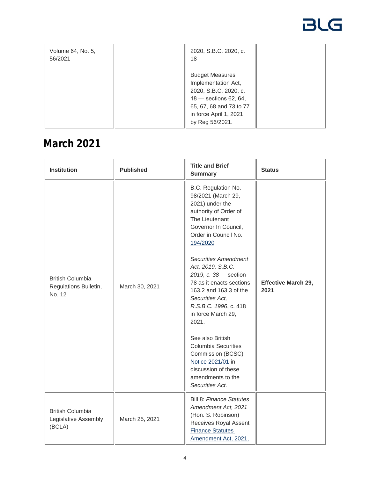| Volume 64, No. 5,<br>56/2021 | 2020, S.B.C. 2020, c.<br>18                                                                                                                                               |  |
|------------------------------|---------------------------------------------------------------------------------------------------------------------------------------------------------------------------|--|
|                              | <b>Budget Measures</b><br>Implementation Act,<br>2020, S.B.C. 2020, c.<br>$18 -$ sections 62, 64,<br>65, 67, 68 and 73 to 77<br>in force April 1, 2021<br>by Reg 56/2021. |  |

#### **March 2021**

| <b>Institution</b>                                         | <b>Published</b> | <b>Title and Brief</b><br><b>Summary</b>                                                                                                                                                                                                                                                                                                                                                                                                                                                                                                     | <b>Status</b>                      |
|------------------------------------------------------------|------------------|----------------------------------------------------------------------------------------------------------------------------------------------------------------------------------------------------------------------------------------------------------------------------------------------------------------------------------------------------------------------------------------------------------------------------------------------------------------------------------------------------------------------------------------------|------------------------------------|
| <b>British Columbia</b><br>Regulations Bulletin,<br>No. 12 | March 30, 2021   | B.C. Regulation No.<br>98/2021 (March 29,<br>2021) under the<br>authority of Order of<br>The Lieutenant<br>Governor In Council,<br>Order in Council No.<br>194/2020<br><b>Securities Amendment</b><br>Act, 2019, S.B.C.<br>2019, c. 38 - section<br>78 as it enacts sections<br>163.2 and 163.3 of the<br>Securities Act,<br>R.S.B.C. 1996, c. 418<br>in force March 29,<br>2021.<br>See also British<br><b>Columbia Securities</b><br>Commission (BCSC)<br>Notice 2021/01 in<br>discussion of these<br>amendments to the<br>Securities Act. | <b>Effective March 29,</b><br>2021 |
| <b>British Columbia</b><br>Legislative Assembly<br>(BCLA)  | March 25, 2021   | <b>Bill 8: Finance Statutes</b><br>Amendment Act, 2021<br>(Hon. S. Robinson)<br>Receives Royal Assent<br><b>Finance Statutes</b><br>Amendment Act, 2021,                                                                                                                                                                                                                                                                                                                                                                                     |                                    |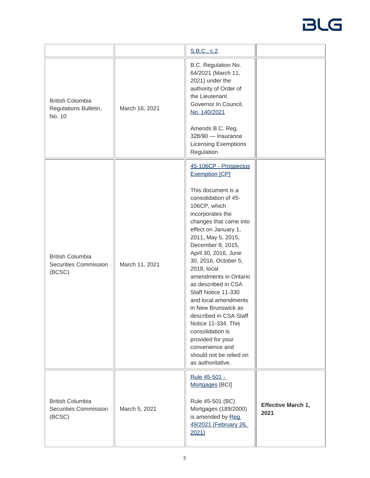|                                                                   |                | S.B.C., c.2.                                                                                                                                                                                                                                                                                                                                                                                                                                                                                                                                                                    |                                   |
|-------------------------------------------------------------------|----------------|---------------------------------------------------------------------------------------------------------------------------------------------------------------------------------------------------------------------------------------------------------------------------------------------------------------------------------------------------------------------------------------------------------------------------------------------------------------------------------------------------------------------------------------------------------------------------------|-----------------------------------|
| <b>British Columbia</b><br>Regulations Bulletin,<br>No. 10        | March 16, 2021 | B.C. Regulation No.<br>64/2021 (March 11,<br>2021) under the<br>authority of Order of<br>the Lieutenant<br>Governor In Council,<br>No. 140/2021<br>Amends B.C. Reg.<br>328/90 - Insurance<br><b>Licensing Exemptions</b><br>Regulation                                                                                                                                                                                                                                                                                                                                          |                                   |
| <b>British Columbia</b><br><b>Securities Commission</b><br>(BCSC) | March 11, 2021 | 45-106CP - Prospectus<br><b>Exemption [CP]</b><br>This document is a<br>consolidation of 45-<br>106CP, which<br>incorporates the<br>changes that came into<br>effect on January 1,<br>2011, May 5, 2015,<br>December 8, 2015,<br>April 30, 2016, June<br>30, 2016, October 5,<br>2018, local<br>amendments in Ontario<br>as described in CSA<br>Staff Notice 11-330<br>and local amendments<br>in New Brunswick as<br>described in CSA Staff<br>Notice 11-334. This<br>consolidation is<br>provided for your<br>convenience and<br>should not be relied on<br>as authoritative. |                                   |
| <b>British Columbia</b><br><b>Securities Commission</b><br>(BCSC) | March 5, 2021  | Rule 45-501 -<br>Mortgages [BCI]<br>Rule 45-501 (BC)<br>Mortgages (189/2000)<br>is amended by Reg<br>49/2021 (February 26,<br>2021)                                                                                                                                                                                                                                                                                                                                                                                                                                             | <b>Effective March 1,</b><br>2021 |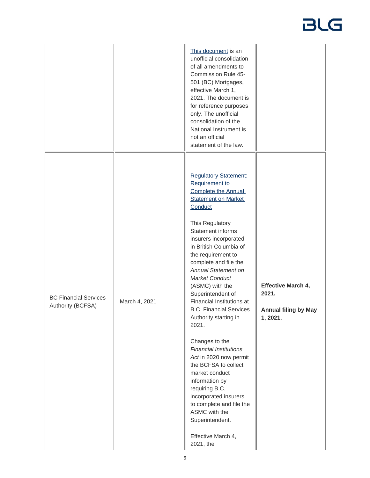|                                                   |               | This document is an<br>unofficial consolidation<br>of all amendments to<br>Commission Rule 45-<br>501 (BC) Mortgages,<br>effective March 1,<br>2021. The document is<br>for reference purposes<br>only. The unofficial<br>consolidation of the<br>National Instrument is<br>not an official                                                                                                                                                                                                                                                                                                                                                                                                                                                                                     |                                                                               |
|---------------------------------------------------|---------------|---------------------------------------------------------------------------------------------------------------------------------------------------------------------------------------------------------------------------------------------------------------------------------------------------------------------------------------------------------------------------------------------------------------------------------------------------------------------------------------------------------------------------------------------------------------------------------------------------------------------------------------------------------------------------------------------------------------------------------------------------------------------------------|-------------------------------------------------------------------------------|
| <b>BC Financial Services</b><br>Authority (BCFSA) | March 4, 2021 | statement of the law.<br><b>Regulatory Statement:</b><br>Requirement to<br><b>Complete the Annual</b><br><b>Statement on Market</b><br>Conduct<br>This Regulatory<br>Statement informs<br>insurers incorporated<br>in British Columbia of<br>the requirement to<br>complete and file the<br><b>Annual Statement on</b><br><b>Market Conduct</b><br>(ASMC) with the<br>Superintendent of<br>Financial Institutions at<br><b>B.C. Financial Services</b><br>Authority starting in<br>2021.<br>Changes to the<br><b>Financial Institutions</b><br>Act in 2020 now permit<br>the BCFSA to collect<br>market conduct<br>information by<br>requiring B.C.<br>incorporated insurers<br>to complete and file the<br>ASMC with the<br>Superintendent.<br>Effective March 4,<br>2021, the | <b>Effective March 4,</b><br>2021.<br><b>Annual filing by May</b><br>1, 2021. |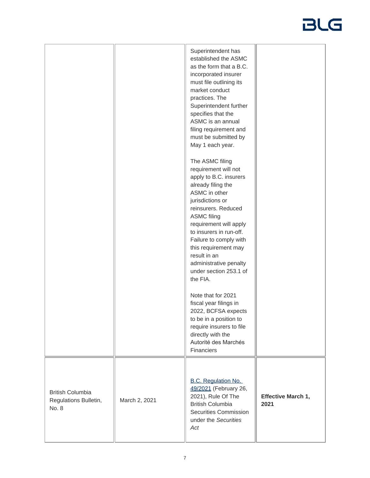|                                                           |               | Superintendent has<br>established the ASMC<br>as the form that a B.C.<br>incorporated insurer<br>must file outlining its<br>market conduct<br>practices. The<br>Superintendent further<br>specifies that the<br>ASMC is an annual<br>filing requirement and<br>must be submitted by<br>May 1 each year.                                                          |                                   |
|-----------------------------------------------------------|---------------|------------------------------------------------------------------------------------------------------------------------------------------------------------------------------------------------------------------------------------------------------------------------------------------------------------------------------------------------------------------|-----------------------------------|
|                                                           |               | The ASMC filing<br>requirement will not<br>apply to B.C. insurers<br>already filing the<br>ASMC in other<br>jurisdictions or<br>reinsurers. Reduced<br><b>ASMC filing</b><br>requirement will apply<br>to insurers in run-off.<br>Failure to comply with<br>this requirement may<br>result in an<br>administrative penalty<br>under section 253.1 of<br>the FIA. |                                   |
|                                                           |               | Note that for 2021<br>fiscal year filings in<br>2022, BCFSA expects<br>to be in a position to<br>require insurers to file<br>directly with the<br>Autorité des Marchés<br>Financiers                                                                                                                                                                             |                                   |
| <b>British Columbia</b><br>Regulations Bulletin,<br>No. 8 | March 2, 2021 | <b>B.C. Regulation No.</b><br>49/2021 (February 26,<br>2021), Rule Of The<br><b>British Columbia</b><br><b>Securities Commission</b><br>under the Securities<br>Act                                                                                                                                                                                              | <b>Effective March 1,</b><br>2021 |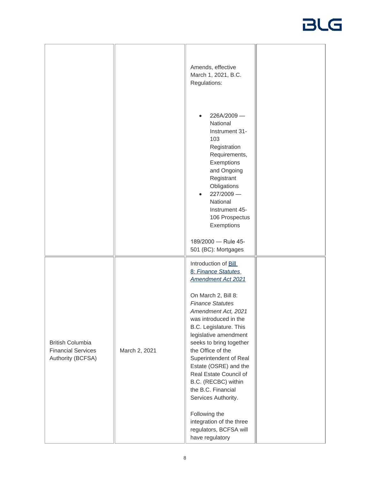|                                                                           |               | Amends, effective<br>March 1, 2021, B.C.<br>Regulations:<br>226A/2009-<br>National<br>Instrument 31-<br>103                                                                                                                                                                                                                                        |  |
|---------------------------------------------------------------------------|---------------|----------------------------------------------------------------------------------------------------------------------------------------------------------------------------------------------------------------------------------------------------------------------------------------------------------------------------------------------------|--|
|                                                                           |               | Registration<br>Requirements,<br>Exemptions<br>and Ongoing<br>Registrant<br>Obligations<br>227/2009-<br>National<br>Instrument 45-<br>106 Prospectus<br>Exemptions                                                                                                                                                                                 |  |
|                                                                           |               | 189/2000 - Rule 45-<br>501 (BC): Mortgages                                                                                                                                                                                                                                                                                                         |  |
|                                                                           |               | Introduction of <b>Bill</b><br>8: Finance Statutes<br><b>Amendment Act 2021</b>                                                                                                                                                                                                                                                                    |  |
| <b>British Columbia</b><br><b>Financial Services</b><br>Authority (BCFSA) | March 2, 2021 | On March 2, Bill 8:<br><b>Finance Statutes</b><br>Amendment Act, 2021<br>was introduced in the<br>B.C. Legislature. This<br>legislative amendment<br>seeks to bring together<br>the Office of the<br>Superintendent of Real<br>Estate (OSRE) and the<br>Real Estate Council of<br>B.C. (RECBC) within<br>the B.C. Financial<br>Services Authority. |  |
|                                                                           |               | Following the<br>integration of the three<br>regulators, BCFSA will<br>have regulatory                                                                                                                                                                                                                                                             |  |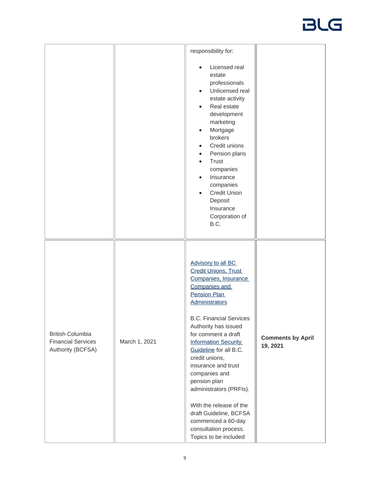|                                                                           |               | responsibility for:<br>Licensed real<br>estate<br>professionals<br>Unlicensed real<br>$\bullet$<br>estate activity<br>Real estate<br>$\bullet$<br>development<br>marketing<br>Mortgage<br>$\bullet$<br>brokers<br>Credit unions<br>$\bullet$<br>Pension plans<br>$\bullet$<br>Trust<br>$\bullet$<br>companies<br>Insurance<br>$\bullet$<br>companies<br><b>Credit Union</b><br>$\bullet$<br>Deposit<br>Insurance<br>Corporation of<br>B.C.                                                                      |                                      |
|---------------------------------------------------------------------------|---------------|-----------------------------------------------------------------------------------------------------------------------------------------------------------------------------------------------------------------------------------------------------------------------------------------------------------------------------------------------------------------------------------------------------------------------------------------------------------------------------------------------------------------|--------------------------------------|
| <b>British Columbia</b><br><b>Financial Services</b><br>Authority (BCFSA) | March 1, 2021 | Advisory to all BC<br><b>Credit Unions, Trust</b><br>Companies, Insurance<br>Companies and<br>Pension Plan<br><b>Administrators</b><br><b>B.C. Financial Services</b><br>Authority has issued<br>for comment a draft<br><b>Information Security</b><br>Guideline for all B.C.<br>credit unions,<br>insurance and trust<br>companies and<br>pension plan<br>administrators (PRFIs).<br>With the release of the<br>draft Guideline, BCFSA<br>commenced a 60-day<br>consultation process.<br>Topics to be included | <b>Comments by April</b><br>19, 2021 |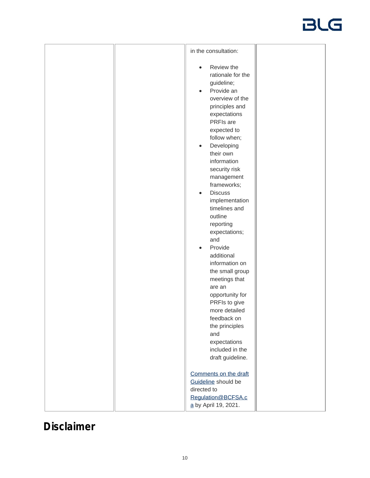| in the consultation:                                                                                                                                                                                                                                                                                                                                                                                                                                                                                      |
|-----------------------------------------------------------------------------------------------------------------------------------------------------------------------------------------------------------------------------------------------------------------------------------------------------------------------------------------------------------------------------------------------------------------------------------------------------------------------------------------------------------|
| Review the<br>$\bullet$<br>rationale for the<br>guideline;<br>Provide an<br>$\bullet$<br>overview of the<br>principles and<br>expectations<br>PRFIs are<br>expected to<br>follow when;<br>Developing<br>$\bullet$<br>their own<br>information<br>security risk<br>management<br>frameworks;<br><b>Discuss</b><br>$\bullet$<br>implementation<br>timelines and<br>outline<br>reporting<br>expectations;<br>and<br>Provide<br>$\bullet$<br>additional<br>information on<br>the small group<br>meetings that |
| are an<br>opportunity for<br>PRFIs to give<br>more detailed                                                                                                                                                                                                                                                                                                                                                                                                                                               |
| feedback on<br>the principles<br>and<br>expectations                                                                                                                                                                                                                                                                                                                                                                                                                                                      |
| included in the<br>draft guideline.                                                                                                                                                                                                                                                                                                                                                                                                                                                                       |
| Comments on the draft<br>Guideline should be<br>directed to<br>Regulation@BCFSA.c<br>a by April 19, 2021.                                                                                                                                                                                                                                                                                                                                                                                                 |

### **Disclaimer**